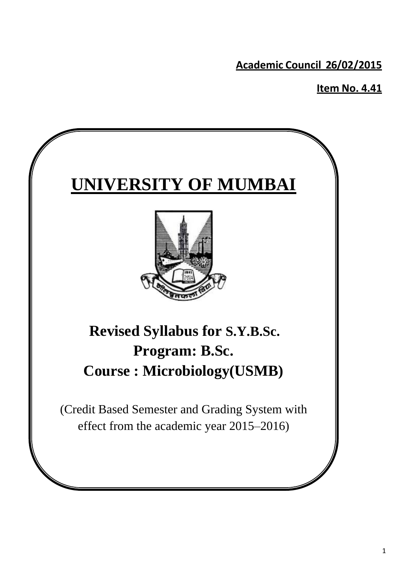**Academic Council 26/02/2015**

**Item No. 4.41**

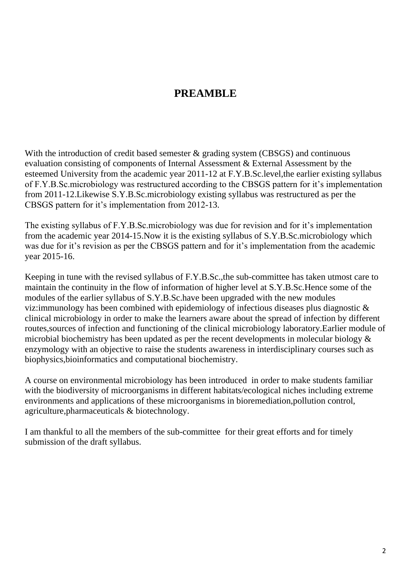# **PREAMBLE**

With the introduction of credit based semester  $\&$  grading system (CBSGS) and continuous evaluation consisting of components of Internal Assessment & External Assessment by the esteemed University from the academic year 2011-12 at F.Y.B.Sc.level,the earlier existing syllabus of F.Y.B.Sc.microbiology was restructured according to the CBSGS pattern for it's implementation from 2011-12.Likewise S.Y.B.Sc.microbiology existing syllabus was restructured as per the CBSGS pattern for it's implementation from 2012-13.

The existing syllabus of F.Y.B.Sc.microbiology was due for revision and for it's implementation from the academic year 2014-15.Now it is the existing syllabus of S.Y.B.Sc.microbiology which was due for it's revision as per the CBSGS pattern and for it's implementation from the academic year 2015-16.

Keeping in tune with the revised syllabus of F.Y.B.Sc.,the sub-committee has taken utmost care to maintain the continuity in the flow of information of higher level at S.Y.B.Sc.Hence some of the modules of the earlier syllabus of S.Y.B.Sc.have been upgraded with the new modules viz:immunology has been combined with epidemiology of infectious diseases plus diagnostic & clinical microbiology in order to make the learners aware about the spread of infection by different routes,sources of infection and functioning of the clinical microbiology laboratory.Earlier module of microbial biochemistry has been updated as per the recent developments in molecular biology & enzymology with an objective to raise the students awareness in interdisciplinary courses such as biophysics,bioinformatics and computational biochemistry.

A course on environmental microbiology has been introduced in order to make students familiar with the biodiversity of microorganisms in different habitats/ecological niches including extreme environments and applications of these microorganisms in bioremediation,pollution control, agriculture,pharmaceuticals & biotechnology.

I am thankful to all the members of the sub-committee for their great efforts and for timely submission of the draft syllabus.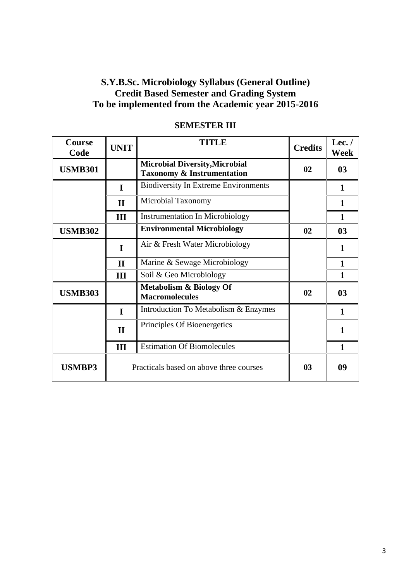# **S.Y.B.Sc. Microbiology Syllabus (General Outline) Credit Based Semester and Grading System To be implemented from the Academic year 2015-2016**

| <b>Course</b><br>Code | <b>UNIT</b>  | <b>TITLE</b>                                                                   | <b>Credits</b> | Lec. /<br><b>Week</b> |
|-----------------------|--------------|--------------------------------------------------------------------------------|----------------|-----------------------|
| <b>USMB301</b>        |              | <b>Microbial Diversity, Microbial</b><br><b>Taxonomy &amp; Instrumentation</b> | 02             | 0 <sub>3</sub>        |
|                       | I            | <b>Biodiversity In Extreme Environments</b>                                    |                | 1                     |
|                       | $\mathbf{I}$ | Microbial Taxonomy                                                             |                | $\mathbf{1}$          |
|                       | III          | <b>Instrumentation In Microbiology</b>                                         |                | $\mathbf{1}$          |
| <b>USMB302</b>        |              | <b>Environmental Microbiology</b>                                              | 02             | 0 <sub>3</sub>        |
|                       | I            | Air & Fresh Water Microbiology                                                 |                | 1                     |
|                       | $\mathbf{H}$ | Marine & Sewage Microbiology                                                   |                | 1                     |
|                       | III          | Soil & Geo Microbiology                                                        |                | 1                     |
| <b>USMB303</b>        |              | <b>Metabolism &amp; Biology Of</b><br><b>Macromolecules</b>                    | 02             | 0 <sub>3</sub>        |
|                       | $\mathbf I$  | Introduction To Metabolism & Enzymes                                           |                | 1                     |
|                       | $\mathbf{I}$ | Principles Of Bioenergetics                                                    |                | 1                     |
|                       | III          | <b>Estimation Of Biomolecules</b>                                              |                | 1                     |
| <b>USMBP3</b>         |              | Practicals based on above three courses                                        | 0 <sub>3</sub> | 09                    |

### **SEMESTER III**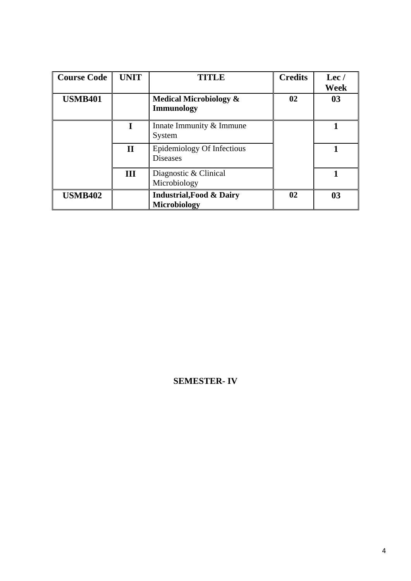| <b>Course Code</b> | <b>UNIT</b>  | <b>TITLE</b>                                           | <b>Credits</b> | $\text{Lec}/\text{}$<br>Week |
|--------------------|--------------|--------------------------------------------------------|----------------|------------------------------|
| <b>USMB401</b>     |              | <b>Medical Microbiology &amp;</b><br><b>Immunology</b> | 02             | 03                           |
|                    |              | Innate Immunity & Immune<br>System                     |                |                              |
|                    | $\mathbf{I}$ | Epidemiology Of Infectious<br><b>Diseases</b>          |                |                              |
|                    | Ш            | Diagnostic & Clinical<br>Microbiology                  |                |                              |
| <b>USMB402</b>     |              | <b>Industrial, Food &amp; Dairy</b><br>Microbiology    | 02             | 03                           |

## **SEMESTER- IV**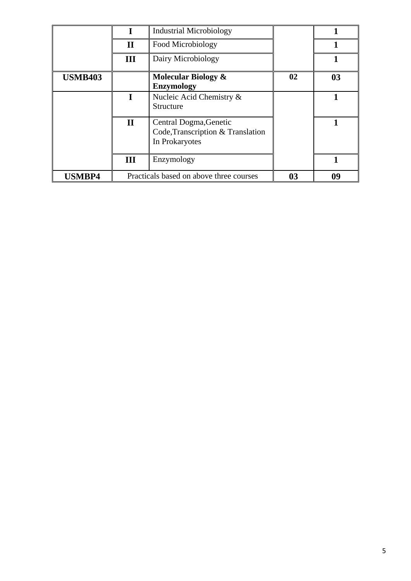|                |              | <b>Industrial Microbiology</b>                                                |    |    |
|----------------|--------------|-------------------------------------------------------------------------------|----|----|
|                | $\mathbf{I}$ | Food Microbiology                                                             |    |    |
|                | III          | Dairy Microbiology                                                            |    |    |
| <b>USMB403</b> |              | Molecular Biology &<br><b>Enzymology</b>                                      | 02 | 03 |
|                |              | Nucleic Acid Chemistry &<br>Structure                                         |    |    |
|                | $\mathbf{I}$ | Central Dogma, Genetic<br>Code, Transcription & Translation<br>In Prokaryotes |    |    |
|                | III          | Enzymology                                                                    |    |    |
| <b>USMBP4</b>  |              | Practicals based on above three courses                                       | 03 | 09 |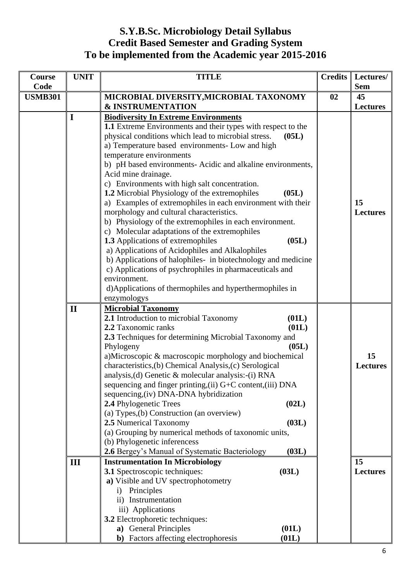# **S.Y.B.Sc. Microbiology Detail Syllabus Credit Based Semester and Grading System To be implemented from the Academic year 2015-2016**

| Course<br>Code | <b>UNIT</b>  | <b>TITLE</b>                                                                                                                                                                                                                                                                                                                                                                                                                                                                                                                                                                                                                                                                                                                                                                                                                                                                                                                                                                                              | <b>Credits</b> | Lectures/<br><b>Sem</b> |
|----------------|--------------|-----------------------------------------------------------------------------------------------------------------------------------------------------------------------------------------------------------------------------------------------------------------------------------------------------------------------------------------------------------------------------------------------------------------------------------------------------------------------------------------------------------------------------------------------------------------------------------------------------------------------------------------------------------------------------------------------------------------------------------------------------------------------------------------------------------------------------------------------------------------------------------------------------------------------------------------------------------------------------------------------------------|----------------|-------------------------|
| <b>USMB301</b> |              | MICROBIAL DIVERSITY, MICROBIAL TAXONOMY<br><b>&amp; INSTRUMENTATION</b>                                                                                                                                                                                                                                                                                                                                                                                                                                                                                                                                                                                                                                                                                                                                                                                                                                                                                                                                   | 02             | 45<br><b>Lectures</b>   |
|                | I            | <b>Biodiversity In Extreme Environments</b><br>1.1 Extreme Environments and their types with respect to the<br>physical conditions which lead to microbial stress.<br>(05L)<br>a) Temperature based environments- Low and high<br>temperature environments<br>b) pH based environments- Acidic and alkaline environments,<br>Acid mine drainage.<br>c) Environments with high salt concentration.<br>1.2 Microbial Physiology of the extremophiles<br>(05L)<br>a) Examples of extremophiles in each environment with their<br>morphology and cultural characteristics.<br>b) Physiology of the extremophiles in each environment.<br>c) Molecular adaptations of the extremophiles<br>1.3 Applications of extremophiles<br>(05L)<br>a) Applications of Acidophiles and Alkalophiles<br>b) Applications of halophiles- in biotechnology and medicine<br>c) Applications of psychrophiles in pharmaceuticals and<br>environment.<br>d) Applications of thermophiles and hyperthermophiles in<br>enzymologys |                | 15<br><b>Lectures</b>   |
|                | $\mathbf{I}$ | <b>Microbial Taxonomy</b><br>2.1 Introduction to microbial Taxonomy<br>(01L)<br>2.2 Taxonomic ranks<br>(01L)<br>2.3 Techniques for determining Microbial Taxonomy and<br>Phylogeny<br>(05L)<br>a)Microscopic & macroscopic morphology and biochemical<br>characteristics, (b) Chemical Analysis, (c) Serological<br>analysis, (d) Genetic & molecular analysis: - (i) RNA<br>sequencing and finger printing, (ii) G+C content, (iii) DNA<br>sequencing, (iv) DNA-DNA hybridization<br>2.4 Phylogenetic Trees<br>(02L)<br>(a) Types, (b) Construction (an overview)<br>2.5 Numerical Taxonomy<br>(03L)<br>(a) Grouping by numerical methods of taxonomic units,<br>(b) Phylogenetic inferencess<br>2.6 Bergey's Manual of Systematic Bacteriology<br>(03L)                                                                                                                                                                                                                                                 |                | 15<br><b>Lectures</b>   |
|                | III          | <b>Instrumentation In Microbiology</b><br>3.1 Spectroscopic techniques:<br>(03L)<br>a) Visible and UV spectrophotometry<br>Principles<br>$\mathbf{i}$<br>ii) Instrumentation<br>iii) Applications<br>3.2 Electrophoretic techniques:<br>a) General Principles<br>(01L)<br><b>b</b> ) Factors affecting electrophoresis<br>(01L)                                                                                                                                                                                                                                                                                                                                                                                                                                                                                                                                                                                                                                                                           |                | 15<br><b>Lectures</b>   |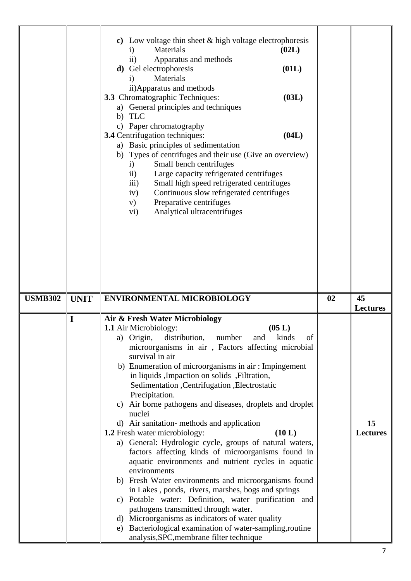|                |             | Low voltage thin sheet & high voltage electrophoresis<br>$\mathbf{c})$<br>Materials<br>(02L)<br>$\mathbf{i}$<br>Apparatus and methods<br>$\rm ii)$<br>(01L)<br>d) Gel electrophoresis<br>Materials<br>$\mathbf{i}$<br>ii) Apparatus and methods<br><b>3.3</b> Chromatographic Techniques:<br>(03L)<br>a) General principles and techniques<br><b>TLC</b><br>b)<br>Paper chromatography<br>$\mathbf{c})$<br>3.4 Centrifugation techniques:<br>(04L)<br>a) Basic principles of sedimentation<br>b) Types of centrifuges and their use (Give an overview)<br>Small bench centrifuges<br>$\mathbf{i}$<br>$\mathbf{ii}$<br>Large capacity refrigerated centrifuges<br>Small high speed refrigerated centrifuges<br>$\overline{\text{iii}}$<br>Continuous slow refrigerated centrifuges<br>iv)<br>Preparative centrifuges<br>V)<br>Analytical ultracentrifuges<br>$\rm vi)$                                                                                                                                                                                                                                                                             |    |                       |
|----------------|-------------|---------------------------------------------------------------------------------------------------------------------------------------------------------------------------------------------------------------------------------------------------------------------------------------------------------------------------------------------------------------------------------------------------------------------------------------------------------------------------------------------------------------------------------------------------------------------------------------------------------------------------------------------------------------------------------------------------------------------------------------------------------------------------------------------------------------------------------------------------------------------------------------------------------------------------------------------------------------------------------------------------------------------------------------------------------------------------------------------------------------------------------------------------|----|-----------------------|
| <b>USMB302</b> | <b>UNIT</b> | <b>ENVIRONMENTAL MICROBIOLOGY</b>                                                                                                                                                                                                                                                                                                                                                                                                                                                                                                                                                                                                                                                                                                                                                                                                                                                                                                                                                                                                                                                                                                                 | 02 | 45<br><b>Lectures</b> |
|                | I           | Air & Fresh Water Microbiology<br>(05 L)<br><b>1.1</b> Air Microbiology:<br>a) Origin,<br>distribution,<br>kinds<br>number<br>and<br><sub>of</sub><br>microorganisms in air, Factors affecting microbial<br>survival in air<br>b) Enumeration of microorganisms in air: Impingement<br>in liquids , Impaction on solids , Filtration,<br>Sedimentation , Centrifugation , Electrostatic<br>Precipitation.<br>Air borne pathogens and diseases, droplets and droplet<br>C)<br>nuclei<br>d) Air sanitation-methods and application<br>1.2 Fresh water microbiology:<br>(10 L)<br>a) General: Hydrologic cycle, groups of natural waters,<br>factors affecting kinds of microorganisms found in<br>aquatic environments and nutrient cycles in aquatic<br>environments<br>b) Fresh Water environments and microorganisms found<br>in Lakes, ponds, rivers, marshes, bogs and springs<br>c) Potable water: Definition, water purification and<br>pathogens transmitted through water.<br>d) Microorganisms as indicators of water quality<br>Bacteriological examination of water-sampling, routine<br>e)<br>analysis, SPC, membrane filter technique |    | 15<br><b>Lectures</b> |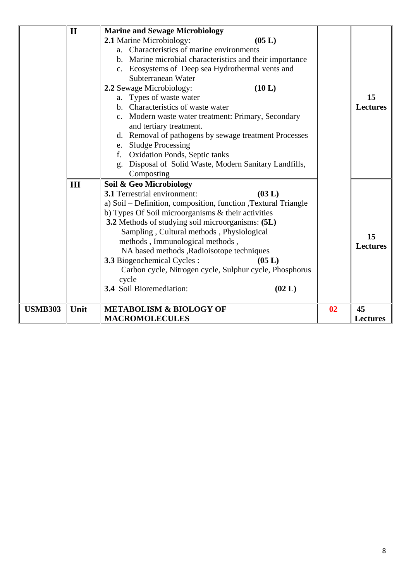|                | $\mathbf{I}$ | <b>Marine and Sewage Microbiology</b><br>2.1 Marine Microbiology:<br>(05 L)<br>a. Characteristics of marine environments<br>b. Marine microbial characteristics and their importance<br>c. Ecosystems of Deep sea Hydrothermal vents and<br>Subterranean Water<br>2.2 Sewage Microbiology:<br>(10 L)<br>a. Types of waste water                                                                                                                                                                                                       |                | 15                    |
|----------------|--------------|---------------------------------------------------------------------------------------------------------------------------------------------------------------------------------------------------------------------------------------------------------------------------------------------------------------------------------------------------------------------------------------------------------------------------------------------------------------------------------------------------------------------------------------|----------------|-----------------------|
|                |              | b. Characteristics of waste water<br>c. Modern waste water treatment: Primary, Secondary<br>and tertiary treatment.<br>d. Removal of pathogens by sewage treatment Processes<br>e. Sludge Processing<br><b>Oxidation Ponds, Septic tanks</b><br>f.<br>Disposal of Solid Waste, Modern Sanitary Landfills,<br>g.<br>Composting                                                                                                                                                                                                         |                | <b>Lectures</b>       |
|                | III          | Soil & Geo Microbiology<br>(03 L)<br>3.1 Terrestrial environment:<br>a) Soil – Definition, composition, function, Textural Triangle<br>b) Types Of Soil microorganisms & their activities<br>3.2 Methods of studying soil microorganisms: (5L)<br>Sampling, Cultural methods, Physiological<br>methods, Immunological methods,<br>NA based methods , Radioisotope techniques<br><b>3.3</b> Biogeochemical Cycles:<br>(05 L)<br>Carbon cycle, Nitrogen cycle, Sulphur cycle, Phosphorus<br>cycle<br>3.4 Soil Bioremediation:<br>(02 L) |                | 15<br><b>Lectures</b> |
| <b>USMB303</b> | Unit         | <b>METABOLISM &amp; BIOLOGY OF</b><br><b>MACROMOLECULES</b>                                                                                                                                                                                                                                                                                                                                                                                                                                                                           | 0 <sub>2</sub> | 45<br><b>Lectures</b> |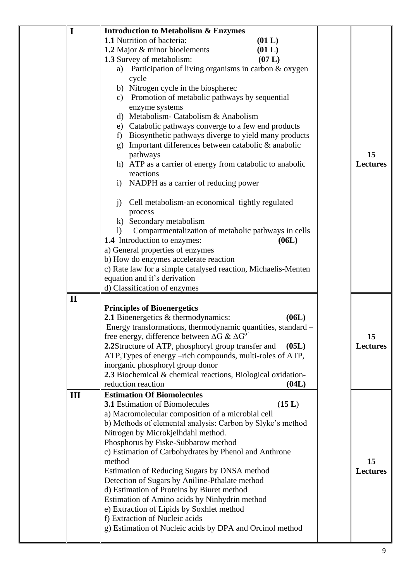| I            | <b>Introduction to Metabolism &amp; Enzymes</b>                         |                 |
|--------------|-------------------------------------------------------------------------|-----------------|
|              | <b>1.1</b> Nutrition of bacteria:<br>(01 L)                             |                 |
|              | 1.2 Major & minor bioelements<br>(01 L)                                 |                 |
|              | (07 L)<br>1.3 Survey of metabolism:                                     |                 |
|              |                                                                         |                 |
|              | a) Participation of living organisms in carbon & oxygen                 |                 |
|              | cycle                                                                   |                 |
|              | b) Nitrogen cycle in the biospherec                                     |                 |
|              | Promotion of metabolic pathways by sequential<br>$\mathbf{c})$          |                 |
|              | enzyme systems                                                          |                 |
|              | d) Metabolism-Catabolism & Anabolism                                    |                 |
|              | e) Catabolic pathways converge to a few end products                    |                 |
|              | Biosynthetic pathways diverge to yield many products<br>f               |                 |
|              | Important differences between catabolic & anabolic<br>$\mathbf{g}$      |                 |
|              | pathways                                                                | 15              |
|              | h) ATP as a carrier of energy from catabolic to anabolic                | <b>Lectures</b> |
|              | reactions                                                               |                 |
|              | NADPH as a carrier of reducing power<br>$\mathbf{i}$                    |                 |
|              | Cell metabolism-an economical tightly regulated<br>$\mathbf{j}$         |                 |
|              | process                                                                 |                 |
|              | k) Secondary metabolism                                                 |                 |
|              | Compartmentalization of metabolic pathways in cells<br>$\left( \right)$ |                 |
|              | 1.4 Introduction to enzymes:<br>(06L)                                   |                 |
|              | a) General properties of enzymes                                        |                 |
|              | b) How do enzymes accelerate reaction                                   |                 |
|              | c) Rate law for a simple catalysed reaction, Michaelis-Menten           |                 |
|              | equation and it's derivation                                            |                 |
|              | d) Classification of enzymes                                            |                 |
| $\mathbf{I}$ |                                                                         |                 |
|              | <b>Principles of Bioenergetics</b>                                      |                 |
|              |                                                                         |                 |
|              | 2.1 Bioenergetics & thermodynamics:<br>(06L)                            |                 |
|              | Energy transformations, thermodynamic quantities, standard -            |                 |
|              | free energy, difference between $\Delta G \& \Delta G^{\circ}$          | 15              |
|              | 2.2Structure of ATP, phosphoryl group transfer and<br>(05L)             | <b>Lectures</b> |
|              | ATP, Types of energy -rich compounds, multi-roles of ATP,               |                 |
|              | inorganic phosphoryl group donor                                        |                 |
|              | 2.3 Biochemical & chemical reactions, Biological oxidation-             |                 |
|              | reduction reaction<br>(04L)                                             |                 |
| III          | <b>Estimation Of Biomolecules</b>                                       |                 |
|              | <b>3.1</b> Estimation of Biomolecules<br>(15 L)                         |                 |
|              | a) Macromolecular composition of a microbial cell                       |                 |
|              | b) Methods of elemental analysis: Carbon by Slyke's method              |                 |
|              | Nitrogen by Microkjelhdahl method.                                      |                 |
|              | Phosphorus by Fiske-Subbarow method                                     |                 |
|              | c) Estimation of Carbohydrates by Phenol and Anthrone                   |                 |
|              | method                                                                  | 15              |
|              | Estimation of Reducing Sugars by DNSA method                            | <b>Lectures</b> |
|              | Detection of Sugars by Aniline-Pthalate method                          |                 |
|              | d) Estimation of Proteins by Biuret method                              |                 |
|              | Estimation of Amino acids by Ninhydrin method                           |                 |
|              | e) Extraction of Lipids by Soxhlet method                               |                 |
|              | f) Extraction of Nucleic acids                                          |                 |
|              | g) Estimation of Nucleic acids by DPA and Orcinol method                |                 |
|              |                                                                         |                 |
|              |                                                                         |                 |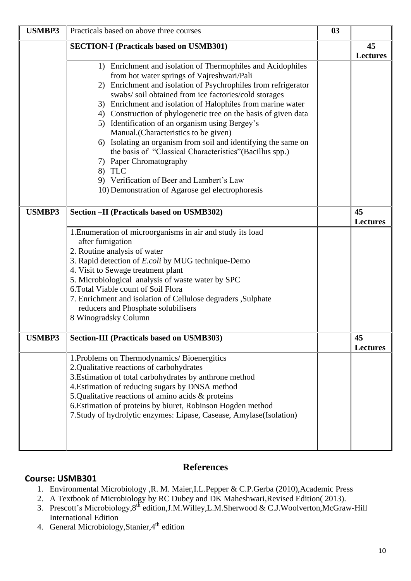| <b>USMBP3</b> | Practicals based on above three courses                                                                                                                                                                                                                                                                                                                                                                                                                                                                                                                                                                                                                                                                                              | 03 |                       |
|---------------|--------------------------------------------------------------------------------------------------------------------------------------------------------------------------------------------------------------------------------------------------------------------------------------------------------------------------------------------------------------------------------------------------------------------------------------------------------------------------------------------------------------------------------------------------------------------------------------------------------------------------------------------------------------------------------------------------------------------------------------|----|-----------------------|
|               | <b>SECTION-I (Practicals based on USMB301)</b>                                                                                                                                                                                                                                                                                                                                                                                                                                                                                                                                                                                                                                                                                       |    | 45<br><b>Lectures</b> |
|               | 1) Enrichment and isolation of Thermophiles and Acidophiles<br>from hot water springs of Vajreshwari/Pali<br>2) Enrichment and isolation of Psychrophiles from refrigerator<br>swabs/soil obtained from ice factories/cold storages<br>3) Enrichment and isolation of Halophiles from marine water<br>4) Construction of phylogenetic tree on the basis of given data<br>5) Identification of an organism using Bergey's<br>Manual.(Characteristics to be given)<br>6) Isolating an organism from soil and identifying the same on<br>the basis of "Classical Characteristics" (Bacillus spp.)<br>7) Paper Chromatography<br>8) TLC<br>9) Verification of Beer and Lambert's Law<br>10) Demonstration of Agarose gel electrophoresis |    |                       |
| <b>USMBP3</b> | Section -II (Practicals based on USMB302)                                                                                                                                                                                                                                                                                                                                                                                                                                                                                                                                                                                                                                                                                            |    | 45<br><b>Lectures</b> |
|               | 1. Enumeration of microorganisms in air and study its load<br>after fumigation<br>2. Routine analysis of water<br>3. Rapid detection of E.coli by MUG technique-Demo<br>4. Visit to Sewage treatment plant<br>5. Microbiological analysis of waste water by SPC<br>6. Total Viable count of Soil Flora<br>7. Enrichment and isolation of Cellulose degraders , Sulphate<br>reducers and Phosphate solubilisers<br>8 Winogradsky Column                                                                                                                                                                                                                                                                                               |    |                       |
| <b>USMBP3</b> | <b>Section-III (Practicals based on USMB303)</b>                                                                                                                                                                                                                                                                                                                                                                                                                                                                                                                                                                                                                                                                                     |    | 45<br><b>Lectures</b> |
|               | 1. Problems on Thermodynamics/Bioenergitics<br>2.Qualitative reactions of carbohydrates<br>3. Estimation of total carbohydrates by anthrone method<br>4. Estimation of reducing sugars by DNSA method<br>5.Qualitative reactions of amino acids & proteins<br>6. Estimation of proteins by biuret, Robinson Hogden method<br>7. Study of hydrolytic enzymes: Lipase, Casease, Amylase(Isolation)                                                                                                                                                                                                                                                                                                                                     |    |                       |

# **References**

### **Course: USMB301**

- 1. Environmental Microbiology ,R. M. Maier,I.L.Pepper & C.P.Gerba (2010),Academic Press
- 2. A Textbook of Microbiology by RC Dubey and DK Maheshwari,Revised Edition( 2013).
- 3. Prescott's Microbiology, 8<sup>th</sup> edition, J.M. Willey, L.M. Sherwood & C.J. Woolverton, McGraw-Hill International Edition
- 4. General Microbiology, Stanier, 4<sup>th</sup> edition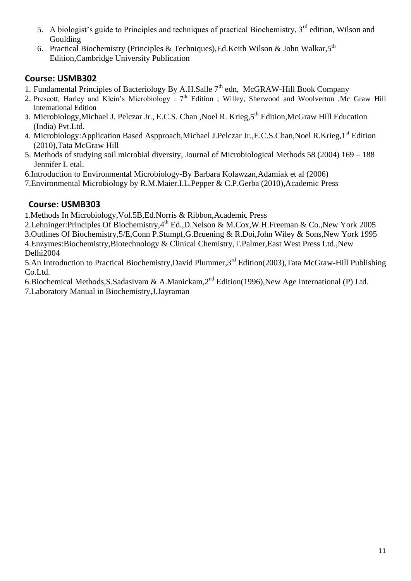- 5. A biologist's guide to Principles and techniques of practical Biochemistry, 3rd edition, Wilson and Goulding
- 6. Practical Biochemistry (Principles & Techniques), Ed. Keith Wilson & John Walkar, 5<sup>th</sup> Edition,Cambridge University Publication

## **Course: USMB302**

- 1. Fundamental Principles of Bacteriology By A.H.Salle  $7<sup>th</sup>$  edn, McGRAW-Hill Book Company
- 2. Prescott, Harley and Klein's Microbiology : 7<sup>th</sup> Edition ; Willey, Sherwood and Woolverton ,Mc Graw Hill International Edition
- 3. Microbiology, Michael J. Pelczar Jr., E.C.S. Chan , Noel R. Krieg, 5<sup>th</sup> Edition, McGraw Hill Education (India) Pvt.Ltd.
- 4. Microbiology:Application Based Aspproach,Michael J.Pelczar Jr.,E.C.S.Chan,Noel R.Krieg,1<sup>st</sup> Edition (2010),Tata McGraw Hill
- 5. Methods of studying soil microbial diversity, Journal of Microbiological Methods 58 (2004) 169 188 Jennifer L etal.
- 6.Introduction to Environmental Microbiology-By Barbara Kolawzan,Adamiak et al (2006)
- 7.Environmental Microbiology by R.M.Maier.I.L.Pepper & C.P.Gerba (2010),Academic Press

# **Course: USMB303**

1.Methods In Microbiology,Vol.5B,Ed.Norris & Ribbon,Academic Press

2.Lehninger:Principles Of Biochemistry,4<sup>th</sup> Ed.,D.Nelson & M.Cox,W.H.Freeman & Co.,New York 2005 3.Outlines Of Biochemistry,5/E,Conn P.Stumpf,G.Bruening & R.Doi,John Wiley & Sons,New York 1995 4.Enzymes:Biochemistry,Biotechnology & Clinical Chemistry,T.Palmer,East West Press Ltd.,New Delhi2004

5.An Introduction to Practical Biochemistry,David Plummer,3rd Edition(2003),Tata McGraw-Hill Publishing Co.Ltd.

6.Biochemical Methods,S.Sadasivam & A.Manickam,2nd Edition(1996),New Age International (P) Ltd. 7.Laboratory Manual in Biochemistry,J.Jayraman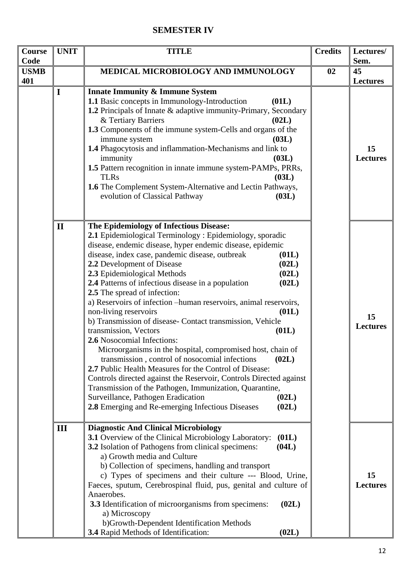## **SEMESTER IV**

| Course<br>Code | <b>UNIT</b>  | <b>TITLE</b>                                                                                                                                                                                                                                                                                                                                                                                                                                                                                                                                                                                                                                                                                                                                                                                                                                                                                                                                                                                                                                                                  | <b>Credits</b> | Lectures/<br>Sem.                        |
|----------------|--------------|-------------------------------------------------------------------------------------------------------------------------------------------------------------------------------------------------------------------------------------------------------------------------------------------------------------------------------------------------------------------------------------------------------------------------------------------------------------------------------------------------------------------------------------------------------------------------------------------------------------------------------------------------------------------------------------------------------------------------------------------------------------------------------------------------------------------------------------------------------------------------------------------------------------------------------------------------------------------------------------------------------------------------------------------------------------------------------|----------------|------------------------------------------|
| <b>USMB</b>    |              | MEDICAL MICROBIOLOGY AND IMMUNOLOGY                                                                                                                                                                                                                                                                                                                                                                                                                                                                                                                                                                                                                                                                                                                                                                                                                                                                                                                                                                                                                                           | 02             | 45                                       |
| 401            | $\mathbf I$  | <b>Innate Immunity &amp; Immune System</b><br>1.1 Basic concepts in Immunology-Introduction<br>(01L)<br>1.2 Principals of Innate & adaptive immunity-Primary, Secondary<br>& Tertiary Barriers<br>(02L)<br>1.3 Components of the immune system-Cells and organs of the<br>immune system<br>(03L)<br>1.4 Phagocytosis and inflammation-Mechanisms and link to<br>immunity<br>(03L)<br>1.5 Pattern recognition in innate immune system-PAMPs, PRRs,<br><b>TLRs</b><br>(03L)<br>1.6 The Complement System-Alternative and Lectin Pathways,<br>evolution of Classical Pathway<br>(03L)                                                                                                                                                                                                                                                                                                                                                                                                                                                                                            |                | <b>Lectures</b><br>15<br><b>Lectures</b> |
|                | $\mathbf{I}$ | The Epidemiology of Infectious Disease:<br>2.1 Epidemiological Terminology : Epidemiology, sporadic<br>disease, endemic disease, hyper endemic disease, epidemic<br>disease, index case, pandemic disease, outbreak<br>(01L)<br>2.2 Development of Disease<br>(02L)<br>2.3 Epidemiological Methods<br>(02L)<br>(02L)<br>2.4 Patterns of infectious disease in a population<br>2.5 The spread of infection:<br>a) Reservoirs of infection -human reservoirs, animal reservoirs,<br>non-living reservoirs<br>(01L)<br>b) Transmission of disease- Contact transmission, Vehicle<br>transmission, Vectors<br>(01L)<br>2.6 Nosocomial Infections:<br>Microorganisms in the hospital, compromised host, chain of<br>transmission, control of nosocomial infections<br>(02L)<br>2.7 Public Health Measures for the Control of Disease:<br>Controls directed against the Reservoir, Controls Directed against<br>Transmission of the Pathogen, Immunization, Quarantine,<br>Surveillance, Pathogen Eradication<br>(02L)<br>2.8 Emerging and Re-emerging Infectious Diseases<br>(02L) |                | 15<br><b>Lectures</b>                    |
|                | III          | <b>Diagnostic And Clinical Microbiology</b><br>3.1 Overview of the Clinical Microbiology Laboratory:<br>(01L)<br>3.2 Isolation of Pathogens from clinical specimens:<br>(04L)<br>a) Growth media and Culture<br>b) Collection of specimens, handling and transport<br>c) Types of specimens and their culture --- Blood, Urine,<br>Faeces, sputum, Cerebrospinal fluid, pus, genital and culture of<br>Anaerobes.<br>3.3 Identification of microorganisms from specimens:<br>(02L)<br>a) Microscopy<br>b)Growth-Dependent Identification Methods<br>3.4 Rapid Methods of Identification:<br>(02L)                                                                                                                                                                                                                                                                                                                                                                                                                                                                             |                | 15<br><b>Lectures</b>                    |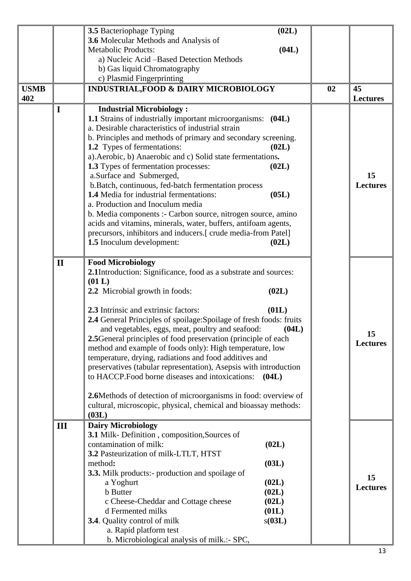|             |              |                                                                                                     | (02L)  |    |                 |
|-------------|--------------|-----------------------------------------------------------------------------------------------------|--------|----|-----------------|
|             |              | 3.5 Bacteriophage Typing<br>3.6 Molecular Methods and Analysis of                                   |        |    |                 |
|             |              | <b>Metabolic Products:</b>                                                                          | (04L)  |    |                 |
|             |              | a) Nucleic Acid -Based Detection Methods                                                            |        |    |                 |
|             |              |                                                                                                     |        |    |                 |
|             |              | b) Gas liquid Chromatography<br>c) Plasmid Fingerprinting                                           |        |    |                 |
| <b>USMB</b> |              |                                                                                                     |        | 02 | 45              |
| 402         |              | <b>INDUSTRIAL, FOOD &amp; DAIRY MICROBIOLOGY</b>                                                    |        |    | <b>Lectures</b> |
|             |              | <b>Industrial Microbiology:</b>                                                                     |        |    |                 |
|             | I            | 1.1 Strains of industrially important microorganisms: (04L)                                         |        |    |                 |
|             |              | a. Desirable characteristics of industrial strain                                                   |        |    |                 |
|             |              |                                                                                                     |        |    |                 |
|             |              | b. Principles and methods of primary and secondary screening.<br><b>1.2</b> Types of fermentations: | (02L)  |    |                 |
|             |              | a). Aerobic, b) Anaerobic and c) Solid state fermentations.                                         |        |    |                 |
|             |              | 1.3 Types of fermentation processes:                                                                | (02L)  |    |                 |
|             |              | a.Surface and Submerged,                                                                            |        |    | 15              |
|             |              | b.Batch, continuous, fed-batch fermentation process                                                 |        |    | <b>Lectures</b> |
|             |              | <b>1.4</b> Media for industrial fermentations:                                                      | (05L)  |    |                 |
|             |              | a. Production and Inoculum media                                                                    |        |    |                 |
|             |              | b. Media components :- Carbon source, nitrogen source, amino                                        |        |    |                 |
|             |              | acids and vitamins, minerals, water, buffers, antifoam agents,                                      |        |    |                 |
|             |              | precursors, inhibitors and inducers.[ crude media-from Patel]                                       |        |    |                 |
|             |              | 1.5 Inoculum development:                                                                           | (02L)  |    |                 |
|             |              |                                                                                                     |        |    |                 |
|             | $\mathbf{I}$ | <b>Food Microbiology</b>                                                                            |        |    |                 |
|             |              | 2.1Introduction: Significance, food as a substrate and sources:                                     |        |    |                 |
|             |              | (01 L)                                                                                              |        |    |                 |
|             |              | 2.2 Microbial growth in foods:                                                                      | (02L)  |    |                 |
|             |              |                                                                                                     |        |    |                 |
|             |              | 2.3 Intrinsic and extrinsic factors:                                                                | (01L)  |    |                 |
|             |              | 2.4 General Principles of spoilage: Spoilage of fresh foods: fruits                                 |        |    |                 |
|             |              | and vegetables, eggs, meat, poultry and seafood:                                                    | (04L)  |    |                 |
|             |              | 2.5 General principles of food preservation (principle of each                                      |        |    | 15              |
|             |              | method and example of foods only): High temperature, low                                            |        |    | <b>Lectures</b> |
|             |              | temperature, drying, radiations and food additives and                                              |        |    |                 |
|             |              | preservatives (tabular representation), Asepsis with introduction                                   |        |    |                 |
|             |              | to HACCP. Food borne diseases and intoxications:                                                    | (04L)  |    |                 |
|             |              |                                                                                                     |        |    |                 |
|             |              | 2.6Methods of detection of microorganisms in food: overview of                                      |        |    |                 |
|             |              | cultural, microscopic, physical, chemical and bioassay methods:                                     |        |    |                 |
|             |              | (03L)                                                                                               |        |    |                 |
|             | III          | <b>Dairy Microbiology</b>                                                                           |        |    |                 |
|             |              | 3.1 Milk- Definition, composition, Sources of                                                       |        |    |                 |
|             |              | contamination of milk:                                                                              | (02L)  |    |                 |
|             |              | 3.2 Pasteurization of milk-LTLT, HTST                                                               |        |    |                 |
|             |              | method:                                                                                             | (03L)  |    |                 |
|             |              | 3.3. Milk products:- production and spoilage of                                                     |        |    | 15              |
|             |              | a Yoghurt                                                                                           | (02L)  |    | <b>Lectures</b> |
|             |              | <b>b</b> Butter                                                                                     | (02L)  |    |                 |
|             |              | c Cheese-Cheddar and Cottage cheese                                                                 | (02L)  |    |                 |
|             |              | d Fermented milks                                                                                   | (01L)  |    |                 |
|             |              | 3.4. Quality control of milk                                                                        | s(03L) |    |                 |
|             |              | a. Rapid platform test                                                                              |        |    |                 |
|             |              | b. Microbiological analysis of milk.:- SPC,                                                         |        |    |                 |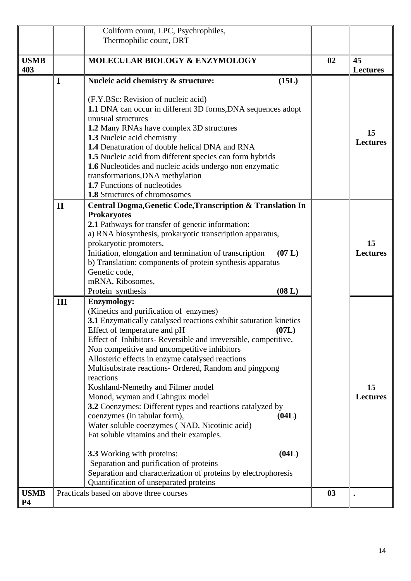|             |              | Coliform count, LPC, Psychrophiles,                                               |    |                 |
|-------------|--------------|-----------------------------------------------------------------------------------|----|-----------------|
|             |              | Thermophilic count, DRT                                                           |    |                 |
|             |              |                                                                                   |    |                 |
| <b>USMB</b> |              | MOLECULAR BIOLOGY & ENZYMOLOGY                                                    | 02 | 45              |
| 403         |              |                                                                                   |    | <b>Lectures</b> |
|             | $\mathbf I$  | (15L)<br>Nucleic acid chemistry & structure:                                      |    |                 |
|             |              |                                                                                   |    |                 |
|             |              | (F.Y.BSc: Revision of nucleic acid)                                               |    |                 |
|             |              | 1.1 DNA can occur in different 3D forms, DNA sequences adopt                      |    |                 |
|             |              | unusual structures                                                                |    |                 |
|             |              | 1.2 Many RNAs have complex 3D structures                                          |    | 15              |
|             |              | 1.3 Nucleic acid chemistry                                                        |    | <b>Lectures</b> |
|             |              | 1.4 Denaturation of double helical DNA and RNA                                    |    |                 |
|             |              | 1.5 Nucleic acid from different species can form hybrids                          |    |                 |
|             |              | 1.6 Nucleotides and nucleic acids undergo non enzymatic                           |    |                 |
|             |              | transformations, DNA methylation<br>1.7 Functions of nucleotides                  |    |                 |
|             |              | <b>1.8</b> Structures of chromosomes                                              |    |                 |
|             | $\mathbf{I}$ |                                                                                   |    |                 |
|             |              | Central Dogma, Genetic Code, Transcription & Translation In<br><b>Prokaryotes</b> |    |                 |
|             |              | 2.1 Pathways for transfer of genetic information:                                 |    |                 |
|             |              | a) RNA biosynthesis, prokaryotic transcription apparatus,                         |    |                 |
|             |              | prokaryotic promoters,                                                            |    | 15              |
|             |              | Initiation, elongation and termination of transcription<br>(07 L)                 |    | <b>Lectures</b> |
|             |              | b) Translation: components of protein synthesis apparatus                         |    |                 |
|             |              | Genetic code,                                                                     |    |                 |
|             |              | mRNA, Ribosomes,                                                                  |    |                 |
|             |              | Protein synthesis<br>(08 L)                                                       |    |                 |
|             | III          | <b>Enzymology:</b>                                                                |    |                 |
|             |              | (Kinetics and purification of enzymes)                                            |    |                 |
|             |              | 3.1 Enzymatically catalysed reactions exhibit saturation kinetics                 |    |                 |
|             |              | Effect of temperature and pH<br>(07L)                                             |    |                 |
|             |              | Effect of Inhibitors-Reversible and irreversible, competitive,                    |    |                 |
|             |              | Non competitive and uncompetitive inhibitors                                      |    |                 |
|             |              | Allosteric effects in enzyme catalysed reactions                                  |    |                 |
|             |              | Multisubstrate reactions- Ordered, Random and pingpong<br>reactions               |    |                 |
|             |              | Koshland-Nemethy and Filmer model                                                 |    | 15              |
|             |              | Monod, wyman and Cahngux model                                                    |    | <b>Lectures</b> |
|             |              | 3.2 Coenzymes: Different types and reactions catalyzed by                         |    |                 |
|             |              | coenzymes (in tabular form),<br>(04L)                                             |    |                 |
|             |              | Water soluble coenzymes (NAD, Nicotinic acid)                                     |    |                 |
|             |              | Fat soluble vitamins and their examples.                                          |    |                 |
|             |              |                                                                                   |    |                 |
|             |              | (04L)<br>3.3 Working with proteins:                                               |    |                 |
|             |              | Separation and purification of proteins                                           |    |                 |
|             |              | Separation and characterization of proteins by electrophoresis                    |    |                 |
|             |              | Quantification of unseparated proteins                                            |    |                 |
| <b>USMB</b> |              | Practicals based on above three courses                                           | 03 |                 |
| <b>P4</b>   |              |                                                                                   |    |                 |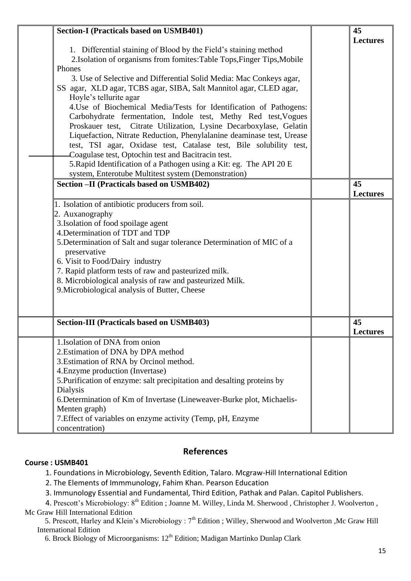| <b>Section-I (Practicals based on USMB401)</b><br>1. Differential staining of Blood by the Field's staining method<br>2. Isolation of organisms from fomites: Table Tops, Finger Tips, Mobile<br>Phones<br>3. Use of Selective and Differential Solid Media: Mac Conkeys agar,<br>SS agar, XLD agar, TCBS agar, SIBA, Salt Mannitol agar, CLED agar,<br>Hoyle's tellurite agar<br>4. Use of Biochemical Media/Tests for Identification of Pathogens:<br>Carbohydrate fermentation, Indole test, Methy Red test, Vogues<br>Proskauer test, Citrate Utilization, Lysine Decarboxylase, Gelatin<br>Liquefaction, Nitrate Reduction, Phenylalanine deaminase test, Urease<br>test, TSI agar, Oxidase test, Catalase test, Bile solubility test,<br>Coagulase test, Optochin test and Bacitracin test.<br>5. Rapid Identification of a Pathogen using a Kit: eg. The API 20 E | 45<br><b>Lectures</b> |
|--------------------------------------------------------------------------------------------------------------------------------------------------------------------------------------------------------------------------------------------------------------------------------------------------------------------------------------------------------------------------------------------------------------------------------------------------------------------------------------------------------------------------------------------------------------------------------------------------------------------------------------------------------------------------------------------------------------------------------------------------------------------------------------------------------------------------------------------------------------------------|-----------------------|
| system, Enterotube Multitest system (Demonstration)                                                                                                                                                                                                                                                                                                                                                                                                                                                                                                                                                                                                                                                                                                                                                                                                                      |                       |
| Section - II (Practicals based on USMB402)                                                                                                                                                                                                                                                                                                                                                                                                                                                                                                                                                                                                                                                                                                                                                                                                                               | 45<br><b>Lectures</b> |
| 1. Isolation of antibiotic producers from soil.<br>2. Auxanography<br>3. Isolation of food spoilage agent<br>4. Determination of TDT and TDP<br>5. Determination of Salt and sugar tolerance Determination of MIC of a<br>preservative<br>6. Visit to Food/Dairy industry<br>7. Rapid platform tests of raw and pasteurized milk.<br>8. Microbiological analysis of raw and pasteurized Milk.<br>9. Microbiological analysis of Butter, Cheese                                                                                                                                                                                                                                                                                                                                                                                                                           |                       |
| <b>Section-III (Practicals based on USMB403)</b>                                                                                                                                                                                                                                                                                                                                                                                                                                                                                                                                                                                                                                                                                                                                                                                                                         | 45<br><b>Lectures</b> |
| 1. Isolation of DNA from onion<br>2. Estimation of DNA by DPA method<br>3. Estimation of RNA by Orcinol method.<br>4. Enzyme production (Invertase)<br>5. Purification of enzyme: salt precipitation and desalting proteins by<br>Dialysis<br>6. Determination of Km of Invertase (Lineweaver-Burke plot, Michaelis-<br>Menten graph)<br>7. Effect of variables on enzyme activity (Temp, pH, Enzyme<br>concentration)                                                                                                                                                                                                                                                                                                                                                                                                                                                   |                       |

### **References**

#### **Course : USMB401**

1. Foundations in Microbiology, Seventh Edition, Talaro. Mcgraw-Hill International Edition

2. The Elements of Immmunology, Fahim Khan. Pearson Education

3. Immunology Essential and Fundamental, Third Edition, Pathak and Palan. Capitol Publishers.

4. Prescott's Microbiology: 8<sup>th</sup> Edition ; Joanne M. Willey, Linda M. Sherwood, Christopher J. Woolverton, Mc Graw Hill International Edition

aw Thir International Edition<br>5. Prescott, Harley and Klein's Microbiology : 7<sup>th</sup> Edition ; Willey, Sherwood and Woolverton ,Mc Graw Hill International Edition

6. Brock Biology of Microorganisms: 12<sup>th</sup> Edition; Madigan Martinko Dunlap Clark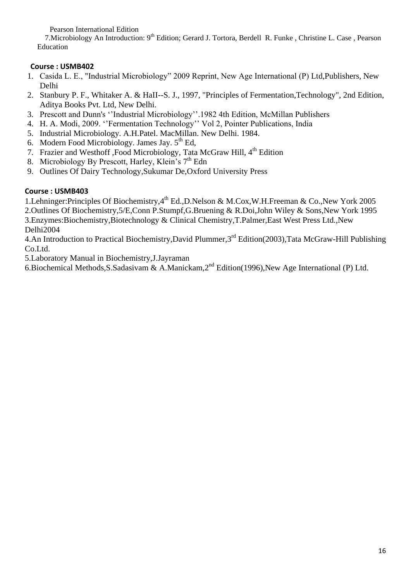Pearson International Edition

7. Microbiology An Introduction: 9<sup>th</sup> Edition; Gerard J. Tortora, Berdell R. Funke, Christine L. Case, Pearson Education

## **Course : USMB402**

- 1. Casida L. E., "Industrial Microbiology" 2009 Reprint, New Age International (P) Ltd,Publishers, New Delhi
- 2. Stanbury P. F., Whitaker A. & HaII--S. J., 1997, "Principles of Fermentation,Technology", 2nd Edition, Aditya Books Pvt. Ltd, New Delhi.
- 3. Prescott and Dunn's ''Industrial Microbiology''.1982 4th Edition, McMillan Publishers
- 4. H. A. Modi, 2009. ''Fermentation Technology'' Vol 2, Pointer Publications, India
- 5. Industrial Microbiology. A.H.Patel. MacMillan. New Delhi. 1984.
- 6. Modern Food Microbiology. James Jay,  $5<sup>th</sup>$  Ed,
- 7. Frazier and Westhoff ,Food Microbiology, Tata McGraw Hill, 4<sup>th</sup> Edition
- 8. Microbiology By Prescott, Harley, Klein's  $7<sup>th</sup>$  Edn
- 9. Outlines Of Dairy Technology,Sukumar De,Oxford University Press

### **Course : USMB403**

1.Lehninger:Principles Of Biochemistry,4th Ed.,D.Nelson & M.Cox,W.H.Freeman & Co.,New York 2005 2.Outlines Of Biochemistry,5/E,Conn P.Stumpf,G.Bruening & R.Doi,John Wiley & Sons,New York 1995 3.Enzymes:Biochemistry,Biotechnology & Clinical Chemistry,T.Palmer,East West Press Ltd.,New Delhi2004

4.An Introduction to Practical Biochemistry, David Plummer, 3<sup>rd</sup> Edition(2003), Tata McGraw-Hill Publishing Co.Ltd.

5.Laboratory Manual in Biochemistry,J.Jayraman

6.Biochemical Methods, S. Sadasivam & A. Manickam, 2<sup>nd</sup> Edition(1996), New Age International (P) Ltd.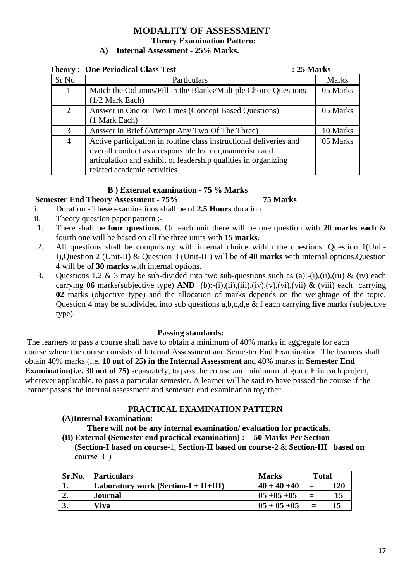#### **MODALITY OF ASSESSMENT Theory Examination Pattern: A) Internal Assessment - 25% Marks.**

| <b>Theory :- One Periodical Class Test</b> | : 25 Marks                                                                                                                                                                                                                     |              |  |
|--------------------------------------------|--------------------------------------------------------------------------------------------------------------------------------------------------------------------------------------------------------------------------------|--------------|--|
| Sr No                                      | Particulars                                                                                                                                                                                                                    | <b>Marks</b> |  |
| 1                                          | Match the Columns/Fill in the Blanks/Multiple Choice Questions<br>$(1/2)$ Mark Each)                                                                                                                                           | 05 Marks     |  |
| 2                                          | Answer in One or Two Lines (Concept Based Questions)<br>(1 Mark Each)                                                                                                                                                          | 05 Marks     |  |
| 3                                          | Answer in Brief (Attempt Any Two Of The Three)                                                                                                                                                                                 | 10 Marks     |  |
| $\overline{4}$                             | Active participation in routine class instructional deliveries and<br>overall conduct as a responsible learner, mannerism and<br>articulation and exhibit of leadership qualities in organizing<br>related academic activities | 05 Marks     |  |

#### **B ) External examination - 75 % Marks**

#### **Semester End Theory Assessment - 75% 75 Marks**

- i. Duration These examinations shall be of **2.5 Hours** duration.
- ii. Theory question paper pattern :-
- 1. There shall be **four questions**. On each unit there will be one question with **20 marks each** & fourth one will be based on all the three units with **15 marks.**
- 2. All questions shall be compulsory with internal choice within the questions. Question 1(Unit-I),Question 2 (Unit-II) & Question 3 (Unit-III) will be of **40 marks** with internal options.Question 4 will be of **30 marks** with internal options.
- 3. Questions 1,2 & 3 may be sub-divided into two sub-questions such as (a):-(i),(ii),(iii) & (iv) each carrying **06** marks(subjective type) **AND** (b):-(i),(ii),(iii),(iv),(v),(vi),(vii) & (viii) each carrying **02** marks (objective type) and the allocation of marks depends on the weightage of the topic. Question 4 may be subdivided into sub questions a,b,c,d,e & f each carrying **five** marks (subjective type).

#### **Passing standards:**

The learners to pass a course shall have to obtain a minimum of 40% marks in aggregate for each course where the course consists of Internal Assessment and Semester End Examination. The learners shall obtain 40% marks (i.e. **10 out of 25) in the Internal Assessment** and 40% marks in **Semester End Examination(i.e. 30 out of 75)** sepasrately, to pass the course and minimum of grade E in each project, wherever applicable, to pass a particular semester. A learner will be said to have passed the course if the learner passes the internal assessment and semester end examination together.

#### **PRACTICAL EXAMINATION PATTERN**

#### **(A)Internal Examination:-**

**There will not be any internal examination/ evaluation for practicals. (B) External (Semester end practical examination) :- 50 Marks Per Section**

**(Section-I based on course-**1, **Section-II based on course-**2 & **Section-III based on course-**3 )

| Sr.No. | <b>Particulars</b>                         | <b>Marks</b>      | <b>Total</b> |     |
|--------|--------------------------------------------|-------------------|--------------|-----|
| ı.     | Laboratory work (Section- $I + II + III$ ) | $40 + 40 + 40$    | $=$          | 120 |
| ∸∙     | Journal                                    | $0.5 + 0.5 + 0.5$ | $=$          | 15  |
| J.     | Viva                                       | $0.5 + 0.5 + 0.5$ | $=$          |     |